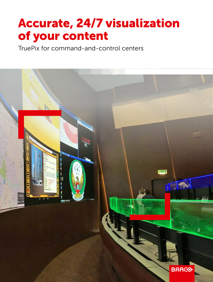# Accurate, 24/7 visualization of your content

TruePix for command-and-control centers

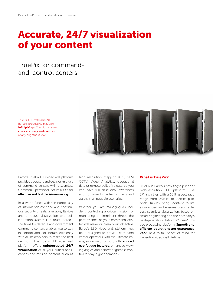## Accurate, 24/7 visualization of your content

## TruePix for commandand-control centers

TruePix LED walls run on Barco's processing platform Infinipix<sup>®</sup> gen2, which ensures color accuracy and contrast at any brightness level.



Barco's TruePix LED video wall platform provides operators and decision-makers of command centers with a seamless Common Operational Picture (COP) for effective and fast decision-making.

In a world faced with the complexity of information overload and continuous security threats, a reliable, flexible and a robust visualization and collaboration system is a must. Barco's solutions for defense and government command centers enables you to stay in control and collaborate efficiently with all stakeholders to make the best decisions. The TruePix LED video wall platform offers uninterrupted 24/7 visualization of all your critical applications and mission content, such as

high resolution mapping (GIS, GPS) CCTV, Video Analytics, operational data or remote collective data, so you can have full situational awareness and continue to protect citizens and assets in all possible scenarios.

Whether you are managing an incident, controlling a critical mission, or monitoring an imminent threat, the performance of your command center will make or break your objective. Barco's LED video wall platform has been designed to provide command center operators with the ultimate image, ergonomic comfort, with reduced eye-fatigue features, enhanced viewing angles and perfect brightness control for day/night operations.

#### What is TruePix?

TruePix is Barco's new flagship indoor high-resolution LED platform. The 27" inch tiles with a 16:9 aspect ratio range from 0.9mm to 2.5mm pixel pitch. TruePix brings content to life as intended and ensures predictable, truly seamless visualization, based on smart engineering and the company's next-generation Infinipix® gen2 image processing platform. **Smooth and** efficient operations are guaranteed 24/7, next to full peace of mind for the entire video wall lifetime.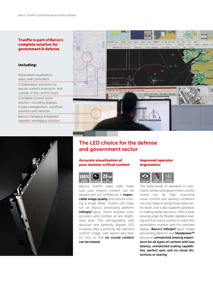### TruePix is part of Barco's complete solution for

#### including:

Networked visualization

Collaboration solutions for secure content sharing in- and outside of the control room

Complete control room solution, including displays, media management, workflow solutions and services

Barco's OpSpace integrated operator workspace solution





The LED choice for the defense and government sector

#### Accurate visualization of your mission-critical content



Barco's TruePix video walls make sure your mission content can be viewed with full confidence, in *impec*cable image quality and without missing a single detail. TruePix LED walls run on Barco's processing platform Infinipix® gen2, which ensures color accuracy and contrast at any brightness level. The self-regulating wall structure and perfectly aligned LED modules offer a perfectly flat wall and uniform image, with seams less than 0.1 mm, so that no crucial content can be missed.

#### Improved operator ergonomics



The stress levels of operators in command centers and government control rooms can be high. Improving visual comfort and viewing conditions not only helps to bring those stress levels down, but it also supports operators in making better decisions. With a wide viewing angle for flexible operator seating and Full colour control to match the workstation monitor with the overview display. Barco's Infinipix® gen2 image processing platform and Steadyview™ ensure an unmatched viewing experience for all types of content with low latency, unmatched scaling capabilities, perfect sync and no visual distortions or tearing.